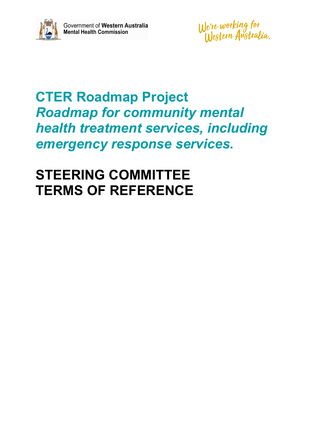

We're working for<br>Western Anstralia.

# **CTER Roadmap Project** *Roadmap for community mental health treatment services, including emergency response services.*

# **STEERING COMMITTEE TERMS OF REFERENCE**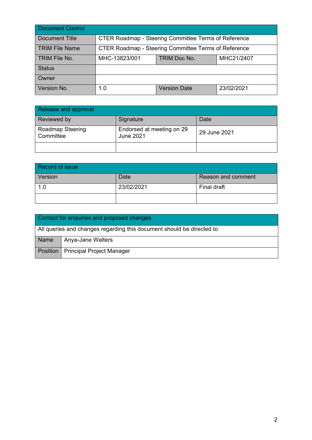| Document Control |                                                             |                     |            |
|------------------|-------------------------------------------------------------|---------------------|------------|
| Document Title   | <b>CTER Roadmap - Steering Committee Terms of Reference</b> |                     |            |
| TRIM File Name   | CTER Roadmap - Steering Committee Terms of Reference        |                     |            |
| TRIM File No.    | MHC-13823/001                                               | TRIM Doc No.        | MHC21/2407 |
| Status           |                                                             |                     |            |
| Owner            |                                                             |                     |            |
| Version No.      | 1.0                                                         | <b>Version Date</b> | 23/02/2021 |

| Release and approval                 |                                               |              |
|--------------------------------------|-----------------------------------------------|--------------|
| Reviewed by                          | Signature                                     | Date         |
| <b>Roadmap Steering</b><br>Committee | Endorsed at meeting on 29<br><b>June 2021</b> | 29 June 2021 |
|                                      |                                               |              |

| Record of issue |            |                    |
|-----------------|------------|--------------------|
| Version         | Date       | Reason and comment |
| 1.0             | 23/02/2021 | Final draft        |
|                 |            |                    |

| Contact for enquiries and proposed changes                            |                                      |  |
|-----------------------------------------------------------------------|--------------------------------------|--|
| All queries and changes regarding this document should be directed to |                                      |  |
| Name                                                                  | Anya-Jane Walters                    |  |
|                                                                       | Position   Principal Project Manager |  |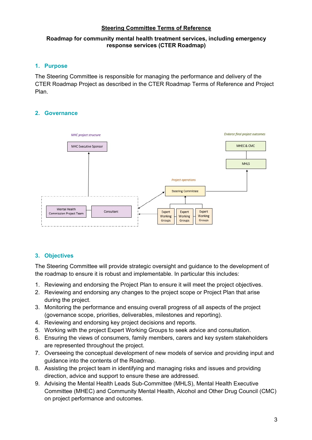## **Steering Committee Terms of Reference**

## **Roadmap for community mental health treatment services, including emergency response services (CTER Roadmap)**

## **1. Purpose**

The Steering Committee is responsible for managing the performance and delivery of the CTER Roadmap Project as described in the CTER Roadmap Terms of Reference and Project Plan.

# **2. Governance**



# **3. Objectives**

The Steering Committee will provide strategic oversight and guidance to the development of the roadmap to ensure it is robust and implementable. In particular this includes:

- 1. Reviewing and endorsing the Project Plan to ensure it will meet the project objectives.
- 2. Reviewing and endorsing any changes to the project scope or Project Plan that arise during the project.
- 3. Monitoring the performance and ensuing overall progress of all aspects of the project (governance scope, priorities, deliverables, milestones and reporting).
- 4. Reviewing and endorsing key project decisions and reports.
- 5. Working with the project Expert Working Groups to seek advice and consultation.
- 6. Ensuring the views of consumers, family members, carers and key system stakeholders are represented throughout the project.
- 7. Overseeing the conceptual development of new models of service and providing input and guidance into the contents of the Roadmap.
- 8. Assisting the project team in identifying and managing risks and issues and providing direction, advice and support to ensure these are addressed.
- 9. Advising the Mental Health Leads Sub-Committee (MHLS), Mental Health Executive Committee (MHEC) and Community Mental Health, Alcohol and Other Drug Council (CMC) on project performance and outcomes.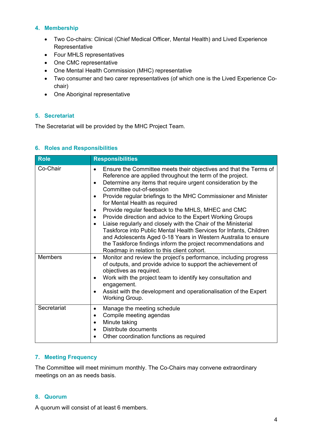# **4. Membership**

- Two Co-chairs: Clinical (Chief Medical Officer, Mental Health) and Lived Experience Representative
- Four MHLS representatives
- One CMC representative
- One Mental Health Commission (MHC) representative
- Two consumer and two carer representatives (of which one is the Lived Experience Cochair)
- One Aboriginal representative

## **5. Secretariat**

The Secretariat will be provided by the MHC Project Team.

## **6. Roles and Responsibilities**

| <b>Role</b>    | <b>Responsibilities</b>                                                                                                                                                                                                                                                                                                                                                                                                                                                                                                                                                                                                                                                                                                                                                                                                                                 |
|----------------|---------------------------------------------------------------------------------------------------------------------------------------------------------------------------------------------------------------------------------------------------------------------------------------------------------------------------------------------------------------------------------------------------------------------------------------------------------------------------------------------------------------------------------------------------------------------------------------------------------------------------------------------------------------------------------------------------------------------------------------------------------------------------------------------------------------------------------------------------------|
| Co-Chair       | Ensure the Committee meets their objectives and that the Terms of<br>$\bullet$<br>Reference are applied throughout the term of the project.<br>Determine any items that require urgent consideration by the<br>$\bullet$<br>Committee out-of-session<br>Provide regular briefings to the MHC Commissioner and Minister<br>$\bullet$<br>for Mental Health as required<br>Provide regular feedback to the MHLS, MHEC and CMC<br>$\bullet$<br>Provide direction and advice to the Expert Working Groups<br>$\bullet$<br>Liaise regularly and closely with the Chair of the Ministerial<br>$\bullet$<br>Taskforce into Public Mental Health Services for Infants, Children<br>and Adolescents Aged 0-18 Years in Western Australia to ensure<br>the Taskforce findings inform the project recommendations and<br>Roadmap in relation to this client cohort. |
| <b>Members</b> | Monitor and review the project's performance, including progress<br>$\bullet$<br>of outputs, and provide advice to support the achievement of<br>objectives as required.<br>Work with the project team to identify key consultation and<br>$\bullet$<br>engagement.<br>Assist with the development and operationalisation of the Expert<br>Working Group.                                                                                                                                                                                                                                                                                                                                                                                                                                                                                               |
| Secretariat    | Manage the meeting schedule<br>$\bullet$<br>Compile meeting agendas<br>$\bullet$<br>Minute taking<br>$\bullet$<br>Distribute documents<br>$\bullet$<br>Other coordination functions as required                                                                                                                                                                                                                                                                                                                                                                                                                                                                                                                                                                                                                                                         |

# **7. Meeting Frequency**

The Committee will meet minimum monthly. The Co-Chairs may convene extraordinary meetings on an as needs basis.

## **8. Quorum**

A quorum will consist of at least 6 members.